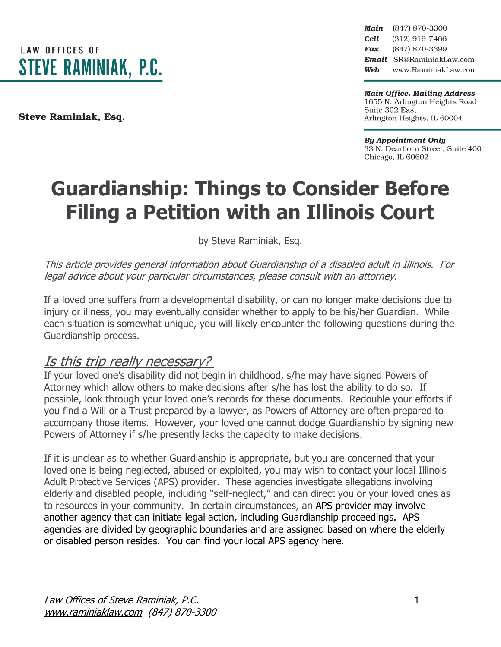

Steve Raminiak, Esq.

Main (847) 870-3300 Cell (312) 919-7466 Fax (847) 870-3399 Email SR@RaminiakLaw.com Web www.RaminiakLaw.com

**Main Office, Mailing Address** 1655 N. Arlington Heights Road Suite 302 East Arlington Heights, IL 60004

**By Appointment Only** 33 N. Dearborn Street, Suite 400 Chicago, IL 60602

# **Guardianship: Things to Consider Before Filing a Petition with an Illinois Court**

by Steve Raminiak, Esq.

This article provides general information about Guardianship of <sup>a</sup> disabled adult in Illinois. For legal advice about your particular circumstances, please consult with an attorney.

If a loved one suffers from a developmental disability, or can no longer make decisions due to injury or illness, you may eventually consider whether to apply to be his/her Guardian. While each situation is somewhat unique, you will likely encounter the following questions during the Guardianship process.

#### Is this trip really necessary?

If your loved one's disability did not begin in childhood, s/he may have signed Powers of Attorney which allow others to make decisions after s/he has lost the ability to do so. If possible, look through your loved one's records for these documents. Redouble your efforts if you find a Will or a Trust prepared by a lawyer, as Powers of Attorney are often prepared to accompany those items. However, your loved one cannot dodge Guardianship by signing new Powers of Attorney if s/he presently lacks the capacity to make decisions.

If it is unclear as to whether Guardianship is appropriate, but you are concerned that your loved one is being neglected, abused or exploited, you may wish to contact your local Illinois Adult Protective Services (APS) provider. These agencies investigate allegations involving elderly and disabled people, including "self-neglect," and can direct you or your loved ones as to resources in your community. In certain circumstances, an APS provider may involve another agency that can initiate legal action, including Guardianship proceedings. APS agencies are divided by geographic boundaries and are assigned based on where the elderly or disabled person resides. You can find your local APS agency [here.](https://www.illinois.gov/aging/ProtectionAdvocacy/Pages/abuse.aspx)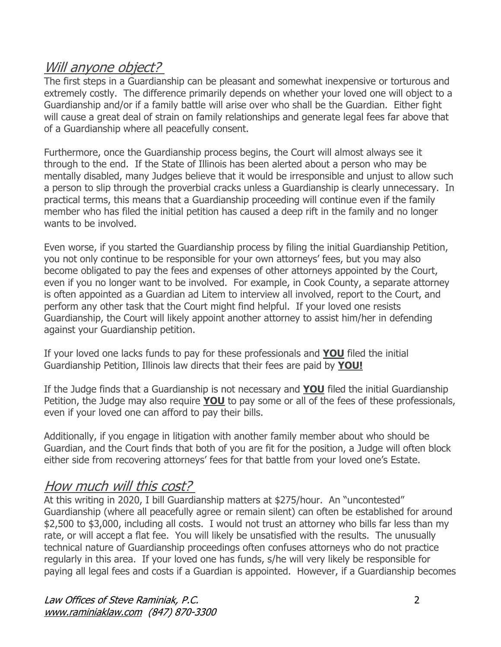## Will anyone object?

The first steps in a Guardianship can be pleasant and somewhat inexpensive or torturous and extremely costly. The difference primarily depends on whether your loved one will object to a Guardianship and/or if a family battle will arise over who shall be the Guardian. Either fight will cause a great deal of strain on family relationships and generate legal fees far above that of a Guardianship where all peacefully consent.

Furthermore, once the Guardianship process begins, the Court will almost always see it through to the end. If the State of Illinois has been alerted about a person who may be mentally disabled, many Judges believe that it would be irresponsible and unjust to allow such a person to slip through the proverbial cracks unless a Guardianship is clearly unnecessary. In practical terms, this means that a Guardianship proceeding will continue even if the family member who has filed the initial petition has caused a deep rift in the family and no longer wants to be involved.

Even worse, if you started the Guardianship process by filing the initial Guardianship Petition, you not only continue to be responsible for your own attorneys' fees, but you may also become obligated to pay the fees and expenses of other attorneys appointed by the Court, even if you no longer want to be involved. For example, in Cook County, a separate attorney is often appointed as a Guardian ad Litem to interview all involved, report to the Court, and perform any other task that the Court might find helpful. If your loved one resists Guardianship, the Court will likely appoint another attorney to assist him/her in defending against your Guardianship petition.

If your loved one lacks funds to pay for these professionals and **YOU** filed the initial Guardianship Petition, Illinois law directs that their fees are paid by **YOU!**

If the Judge finds that a Guardianship is not necessary and **YOU** filed the initial Guardianship Petition, the Judge may also require **YOU** to pay some or all of the fees of these professionals, even if your loved one can afford to pay their bills.

Additionally, if you engage in litigation with another family member about who should be Guardian, and the Court finds that both of you are fit for the position, a Judge will often block either side from recovering attorneys' fees for that battle from your loved one's Estate.

#### How much will this cost?

At this writing in 2020, I bill Guardianship matters at \$275/hour. An "uncontested" Guardianship (where all peacefully agree or remain silent) can often be established for around \$2,500 to \$3,000, including all costs. I would not trust an attorney who bills far less than my rate, or will accept a flat fee. You will likely be unsatisfied with the results. The unusually technical nature of Guardianship proceedings often confuses attorneys who do not practice regularly in this area. If your loved one has funds, s/he will very likely be responsible for paying all legal fees and costs if a Guardian is appointed. However, if a Guardianship becomes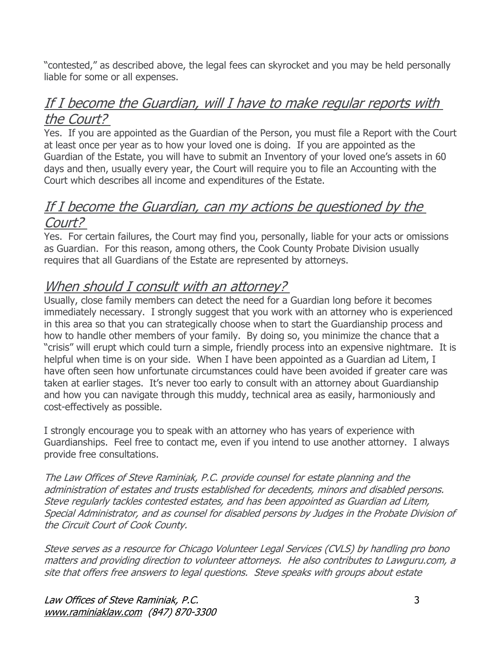"contested," as described above, the legal fees can skyrocket and you may be held personally liable for some or all expenses.

### If I become the Guardian, will I have to make regular reports with the Court?

Yes. If you are appointed as the Guardian of the Person, you must file a Report with the Court at least once per year as to how your loved one is doing. If you are appointed as the Guardian of the Estate, you will have to submit an Inventory of your loved one's assets in 60 days and then, usually every year, the Court will require you to file an Accounting with the Court which describes all income and expenditures of the Estate.

### If I become the Guardian, can my actions be questioned by the Court?

Yes. For certain failures, the Court may find you, personally, liable for your acts or omissions as Guardian. For this reason, among others, the Cook County Probate Division usually requires that all Guardians of the Estate are represented by attorneys.

## When should I consult with an attorney?

Usually, close family members can detect the need for a Guardian long before it becomes immediately necessary. I strongly suggest that you work with an attorney who is experienced in this area so that you can strategically choose when to start the Guardianship process and how to handle other members of your family. By doing so, you minimize the chance that a "crisis" will erupt which could turn a simple, friendly process into an expensive nightmare. It is helpful when time is on your side. When I have been appointed as a Guardian ad Litem, I have often seen how unfortunate circumstances could have been avoided if greater care was taken at earlier stages. It's never too early to consult with an attorney about Guardianship and how you can navigate through this muddy, technical area as easily, harmoniously and cost-effectively as possible.

I strongly encourage you to speak with an attorney who has years of experience with Guardianships. Feel free to contact me, even if you intend to use another attorney. I always provide free consultations.

The Law Offices of Steve Raminiak, P.C. provide counsel for estate planning and the administration of estates and trusts established for decedents, minors and disabled persons. Steve regularly tackles contested estates, and has been appointed as Guardian ad Litem, Special Administrator, and as counsel for disabled persons by Judges in the Probate Division of the Circuit Court of Cook County.

Steve serves as <sup>a</sup> resource for Chicago Volunteer Legal Services (CVLS) by handling pro bono matters and providing direction to volunteer attorneys. He also contributes to Lawguru.com, <sup>a</sup> site that offers free answers to legal questions. Steve speaks with groups about estate